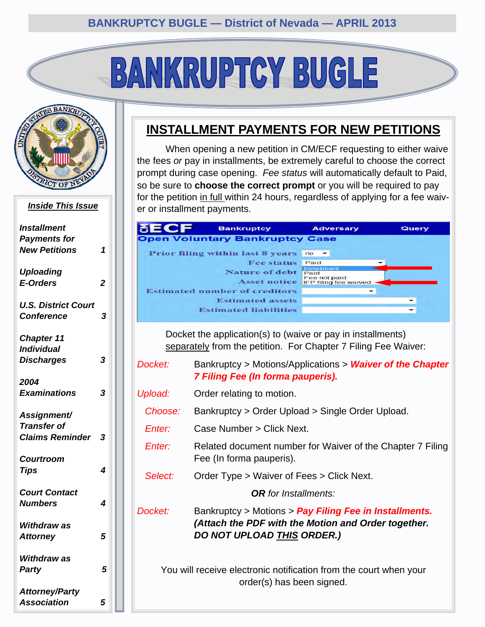# BANKRUPTCY BUGLE



#### *Inside This Issue*

| <b>Installment</b><br><b>Payments for</b>       |                |
|-------------------------------------------------|----------------|
| <b>New Petitions</b>                            | 1              |
| <b>Uploading</b><br><b>E-Orders</b>             | $\overline{2}$ |
|                                                 |                |
| <b>U.S. District Court</b><br><b>Conference</b> | 3              |
| <b>Chapter 11</b><br><b>Individual</b>          |                |
| <b>Discharges</b>                               | 3              |
| 2004                                            |                |
| <b>Examinations</b>                             | 3              |
| Assignment/<br><b>Transfer of</b>               |                |
| <b>Claims Reminder</b>                          | 3              |
| <b>Courtroom</b>                                |                |
| <b>Tips</b>                                     | 4              |
| <b>Court Contact</b><br><b>Numbers</b>          | 4              |
|                                                 |                |
| <b>Withdraw as</b><br><b>Attorney</b>           | 5              |
| Withdraw as                                     |                |
| Party                                           | 5              |
| <b>Attorney/Party</b>                           |                |
| <b>Association</b>                              | 5              |

#### **INSTALLMENT PAYMENTS FOR NEW PETITIONS**

 When opening a new petition in CM/ECF requesting to either waive the fees *or* pay in installments, be extremely careful to choose the correct prompt during case opening. *Fee status* will automatically default to Paid, so be sure to **choose the correct prompt** or you will be required to pay for the petition in full within 24 hours, regardless of applying for a fee waiver or installment payments.

|                                                                                                | <b>Bankruptcy</b>                                                 | Adversary                          | Query |  |
|------------------------------------------------------------------------------------------------|-------------------------------------------------------------------|------------------------------------|-------|--|
|                                                                                                | <b>Open Voluntary Bankruptcy Case</b>                             |                                    |       |  |
|                                                                                                | Prior filing within last 8 years no                               |                                    |       |  |
|                                                                                                | <b>Fee status</b>                                                 | Paid                               |       |  |
|                                                                                                | Nature of debt                                                    | Installmen<br>Paid<br>Fee not paid |       |  |
|                                                                                                | <b>Asset notice</b><br><b>Estimated number of creditors</b>       | <b>IFP filing fee waived</b>       |       |  |
|                                                                                                | <b>Estimated assets</b>                                           |                                    |       |  |
|                                                                                                | <b>Estimated liabilities</b>                                      |                                    |       |  |
|                                                                                                |                                                                   |                                    |       |  |
|                                                                                                | Docket the application(s) to (waive or pay in installments)       |                                    |       |  |
|                                                                                                | separately from the petition. For Chapter 7 Filing Fee Waiver:    |                                    |       |  |
| Docket:                                                                                        |                                                                   |                                    |       |  |
| Bankruptcy > Motions/Applications > Waiver of the Chapter<br>7 Filing Fee (In forma pauperis). |                                                                   |                                    |       |  |
|                                                                                                |                                                                   |                                    |       |  |
| Upload:                                                                                        | Order relating to motion.                                         |                                    |       |  |
| Choose:                                                                                        | Bankruptcy > Order Upload > Single Order Upload.                  |                                    |       |  |
| Enter:                                                                                         | Case Number > Click Next.                                         |                                    |       |  |
| Enter:                                                                                         |                                                                   |                                    |       |  |
|                                                                                                | Related document number for Waiver of the Chapter 7 Filing        |                                    |       |  |
|                                                                                                | Fee (In forma pauperis).                                          |                                    |       |  |
| Select:                                                                                        | Order Type > Waiver of Fees > Click Next.                         |                                    |       |  |
|                                                                                                | <b>OR</b> for Installments:                                       |                                    |       |  |
|                                                                                                |                                                                   |                                    |       |  |
| Docket:                                                                                        | Bankruptcy > Motions > Pay Filing Fee in Installments.            |                                    |       |  |
|                                                                                                | (Attach the PDF with the Motion and Order together.               |                                    |       |  |
|                                                                                                | DO NOT UPLOAD THIS ORDER.)                                        |                                    |       |  |
|                                                                                                |                                                                   |                                    |       |  |
|                                                                                                |                                                                   |                                    |       |  |
|                                                                                                | You will receive electronic notification from the court when your |                                    |       |  |
|                                                                                                | order(s) has been signed.                                         |                                    |       |  |
|                                                                                                |                                                                   |                                    |       |  |
|                                                                                                |                                                                   |                                    |       |  |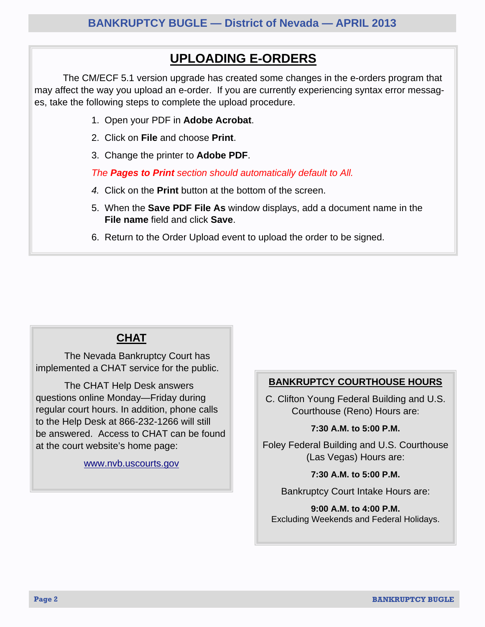#### **UPLOADING E-ORDERS**

<span id="page-1-0"></span> The CM/ECF 5.1 version upgrade has created some changes in the e-orders program that may affect the way you upload an e-order. If you are currently experiencing syntax error messages, take the following steps to complete the upload procedure.

- 1. Open your PDF in **Adobe Acrobat**.
- 2. Click on **File** and choose **Print**.
- 3. Change the printer to **Adobe PDF**.

*The Pages to Print section should automatically default to All.* 

- *4.* Click on the **Print** button at the bottom of the screen.
- 5. When the **Save PDF File As** window displays, add a document name in the **File name** field and click **Save**.
- 6. Return to the Order Upload event to upload the order to be signed.

#### **CHAT**

 The Nevada Bankruptcy Court has implemented a CHAT service for the public.

 The CHAT Help Desk answers questions online Monday—Friday during regular court hours. In addition, phone calls to the Help Desk at 866-232-1266 will still be answered. Access to CHAT can be found at the court website's home page:

www.nvb.uscourts.gov

#### **BANKRUPTCY COURTHOUSE HOURS**

C. Clifton Young Federal Building and U.S. Courthouse (Reno) Hours are:

#### **7:30 A.M. to 5:00 P.M.**

Foley Federal Building and U.S. Courthouse (Las Vegas) Hours are:

**7:30 A.M. to 5:00 P.M.** 

Bankruptcy Court Intake Hours are:

**9:00 A.M. to 4:00 P.M.**  Excluding Weekends and Federal Holidays.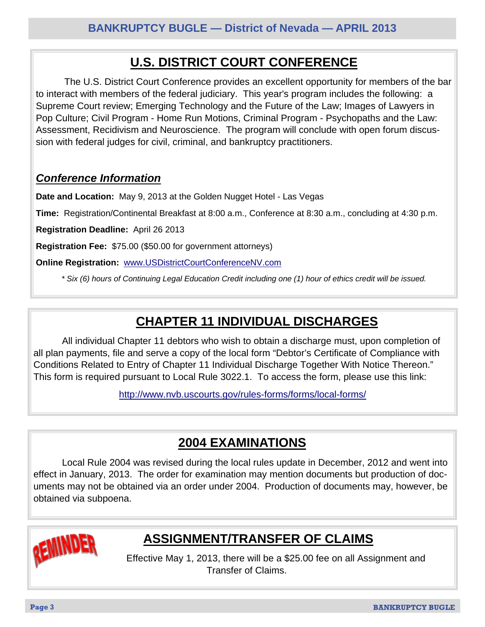## **U.S. DISTRICT COURT CONFERENCE**

<span id="page-2-0"></span> The U.S. District Court Conference provides an excellent opportunity for members of the bar to interact with members of the federal judiciary. This year's program includes the following: a Supreme Court review; Emerging Technology and the Future of the Law; Images of Lawyers in Pop Culture; Civil Program - Home Run Motions, Criminal Program - Psychopaths and the Law: Assessment, Recidivism and Neuroscience. The program will conclude with open forum discussion with federal judges for civil, criminal, and bankruptcy practitioners.

#### *Conference Information*

**Date and Location:** May 9, 2013 at the Golden Nugget Hotel - Las Vegas

**Time:** Registration/Continental Breakfast at 8:00 a.m., Conference at 8:30 a.m., concluding at 4:30 p.m.

**Registration Deadline:** April 26 2013

**Registration Fee:** \$75.00 (\$50.00 for government attorneys)

**Online Registration:** www.USDistrictCourtConferenceNV.com

*\* Six (6) hours of Continuing Legal Education Credit including one (1) hour of ethics credit will be issued.* 

### **CHAPTER 11 INDIVIDUAL DISCHARGES**

 All individual Chapter 11 debtors who wish to obtain a discharge must, upon completion of all plan payments, file and serve a copy of the local form "Debtor's Certificate of Compliance with Conditions Related to Entry of Chapter 11 Individual Discharge Together With Notice Thereon." This form is required pursuant to Local Rule 3022.1. To access the form, please use this link:

http://www.nvb.uscourts.gov/rules-forms/forms/local-forms/

#### **2004 EXAMINATIONS**

 Local Rule 2004 was revised during the local rules update in December, 2012 and went into effect in January, 2013. The order for examination may mention documents but production of documents may not be obtained via an order under 2004. Production of documents may, however, be obtained via subpoena.



## **ASSIGNMENT/TRANSFER OF CLAIMS**

Effective May 1, 2013, there will be a \$25.00 fee on all Assignment and Transfer of Claims.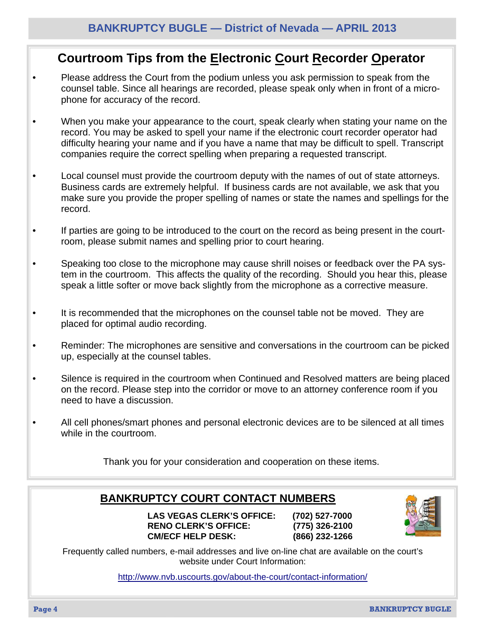#### <span id="page-3-0"></span>**Courtroom Tips from the Electronic Court Recorder Operator**

- Please address the Court from the podium unless you ask permission to speak from the counsel table. Since all hearings are recorded, please speak only when in front of a microphone for accuracy of the record.
- When you make your appearance to the court, speak clearly when stating your name on the record. You may be asked to spell your name if the electronic court recorder operator had difficulty hearing your name and if you have a name that may be difficult to spell. Transcript companies require the correct spelling when preparing a requested transcript.
- Local counsel must provide the courtroom deputy with the names of out of state attorneys. Business cards are extremely helpful. If business cards are not available, we ask that you make sure you provide the proper spelling of names or state the names and spellings for the record.
- If parties are going to be introduced to the court on the record as being present in the courtroom, please submit names and spelling prior to court hearing.
- Speaking too close to the microphone may cause shrill noises or feedback over the PA system in the courtroom. This affects the quality of the recording. Should you hear this, please speak a little softer or move back slightly from the microphone as a corrective measure.
- It is recommended that the microphones on the counsel table not be moved. They are placed for optimal audio recording.
- Reminder: The microphones are sensitive and conversations in the courtroom can be picked up, especially at the counsel tables.
- Silence is required in the courtroom when Continued and Resolved matters are being placed on the record. Please step into the corridor or move to an attorney conference room if you need to have a discussion.
- All cell phones/smart phones and personal electronic devices are to be silenced at all times while in the courtroom.

Thank you for your consideration and cooperation on these items.

#### **BANKRUPTCY COURT CONTACT NUMBERS**

 **LAS VEGAS CLERK'S OFFICE: (702) 527-7000 RENO CLERK'S OFFICE: (775) 326-2100 CM/ECF HELP DESK: (866) 232-1266** 



Frequently called numbers, e-mail addresses and live on-line chat are available on the court's website under Court Information:

http://www.nvb.uscourts.gov/about-the-court/contact-information/